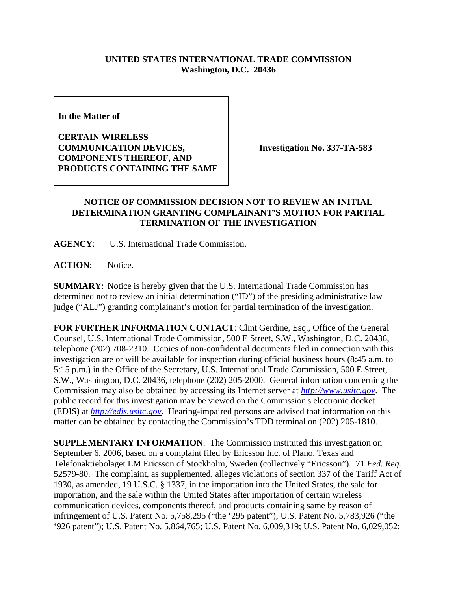## **UNITED STATES INTERNATIONAL TRADE COMMISSION Washington, D.C. 20436**

**In the Matter of** 

**CERTAIN WIRELESS COMMUNICATION DEVICES, COMPONENTS THEREOF, AND PRODUCTS CONTAINING THE SAME**

**Investigation No. 337-TA-583**

## **NOTICE OF COMMISSION DECISION NOT TO REVIEW AN INITIAL DETERMINATION GRANTING COMPLAINANT'S MOTION FOR PARTIAL TERMINATION OF THE INVESTIGATION**

**AGENCY**: U.S. International Trade Commission.

**ACTION**: Notice.

**SUMMARY**: Notice is hereby given that the U.S. International Trade Commission has determined not to review an initial determination ("ID") of the presiding administrative law judge ("ALJ") granting complainant's motion for partial termination of the investigation.

**FOR FURTHER INFORMATION CONTACT**: Clint Gerdine, Esq., Office of the General Counsel, U.S. International Trade Commission, 500 E Street, S.W., Washington, D.C. 20436, telephone (202) 708-2310. Copies of non-confidential documents filed in connection with this investigation are or will be available for inspection during official business hours (8:45 a.m. to 5:15 p.m.) in the Office of the Secretary, U.S. International Trade Commission, 500 E Street, S.W., Washington, D.C. 20436, telephone (202) 205-2000. General information concerning the Commission may also be obtained by accessing its Internet server at *http://www.usitc.gov*. The public record for this investigation may be viewed on the Commission's electronic docket (EDIS) at *http://edis.usitc.gov*. Hearing-impaired persons are advised that information on this matter can be obtained by contacting the Commission's TDD terminal on (202) 205-1810.

**SUPPLEMENTARY INFORMATION:** The Commission instituted this investigation on September 6, 2006, based on a complaint filed by Ericsson Inc. of Plano, Texas and Telefonaktiebolaget LM Ericsson of Stockholm, Sweden (collectively "Ericsson"). 71 *Fed. Reg.* 52579-80. The complaint, as supplemented, alleges violations of section 337 of the Tariff Act of 1930, as amended, 19 U.S.C. § 1337, in the importation into the United States, the sale for importation, and the sale within the United States after importation of certain wireless communication devices, components thereof, and products containing same by reason of infringement of U.S. Patent No. 5,758,295 ("the '295 patent"); U.S. Patent No. 5,783,926 ("the '926 patent"); U.S. Patent No. 5,864,765; U.S. Patent No. 6,009,319; U.S. Patent No. 6,029,052;